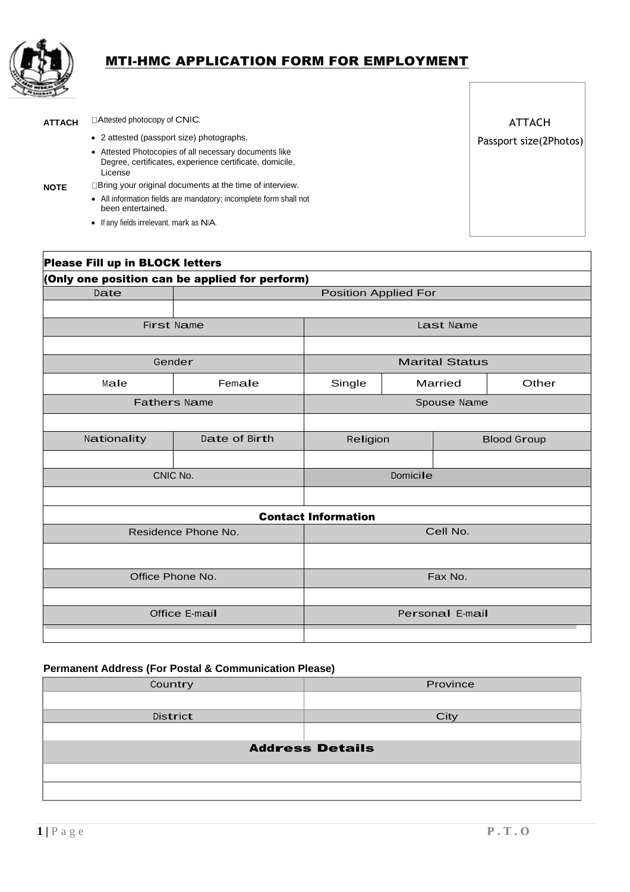

# MTI-HMC APPLICATION FORM FOR EMPLOYMENT

ATTACH **Attested photocopy of CNIC.** 

- 2 attested (passport size) photographs.
- Attested Photocopies of all necessary documents like Degree, certificates, experience certificate, domicile, License

- **NOTE** Bring your original documents at the time of interview.
	- All information fields are mandatory; incomplete form shall not been entertained.
	- If any fields irrelevant, mark as N/A.

ATTACH Passport size(2Photos)

| Please Fill up in BLOCK letters                |                             |                            |  |                       |       |
|------------------------------------------------|-----------------------------|----------------------------|--|-----------------------|-------|
| (Only one position can be applied for perform) |                             |                            |  |                       |       |
| Date                                           | <b>Position Applied For</b> |                            |  |                       |       |
|                                                |                             |                            |  |                       |       |
| First Name                                     |                             |                            |  | Last Name             |       |
|                                                |                             |                            |  |                       |       |
|                                                | Gender                      |                            |  | <b>Marital Status</b> |       |
| Male                                           | Female                      | Single                     |  | Married               | Other |
|                                                | <b>Fathers Name</b>         |                            |  | Spouse Name           |       |
|                                                |                             |                            |  |                       |       |
| Nationality                                    | Date of Birth               | Religion                   |  | <b>Blood Group</b>    |       |
|                                                |                             |                            |  |                       |       |
|                                                | CNIC No.                    | Domicile                   |  |                       |       |
|                                                |                             |                            |  |                       |       |
|                                                |                             | <b>Contact Information</b> |  |                       |       |
|                                                | Residence Phone No.         |                            |  | Cell No.              |       |
|                                                |                             |                            |  |                       |       |
| Office Phone No.                               |                             |                            |  | Fax No.               |       |
|                                                |                             |                            |  |                       |       |
|                                                | Office E-mail               |                            |  | Personal E-mail       |       |
|                                                |                             |                            |  |                       |       |

### **Permanent Address (For Postal & Communication Please)**

| Country  | Province               |
|----------|------------------------|
|          |                        |
| District | City                   |
|          |                        |
|          | <b>Address Details</b> |
|          |                        |
|          |                        |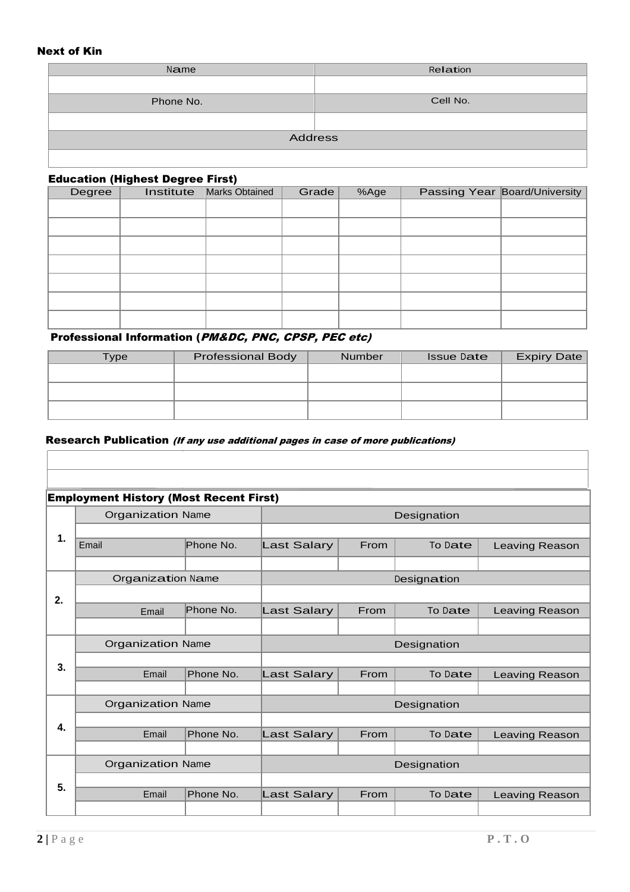### Next of Kin

| Name           | Relation |
|----------------|----------|
|                |          |
| Phone No.      | Cell No. |
|                |          |
| <b>Address</b> |          |
|                |          |

### Education (Highest Degree First)

| Degree | <b>Institute</b> Marks Obtained | Grade | %Age | <b>Passing Year Board/University</b> |
|--------|---------------------------------|-------|------|--------------------------------------|
|        |                                 |       |      |                                      |
|        |                                 |       |      |                                      |
|        |                                 |       |      |                                      |
|        |                                 |       |      |                                      |
|        |                                 |       |      |                                      |
|        |                                 |       |      |                                      |
|        |                                 |       |      |                                      |

# Professional Information (PM&DC, PNC, CPSP, PEC etc)

| Type | <b>Professional Body</b> | <b>Number</b> | <b>Issue Date</b> | <b>Expiry Date</b> |
|------|--------------------------|---------------|-------------------|--------------------|
|      |                          |               |                   |                    |
|      |                          |               |                   |                    |
|      |                          |               |                   |                    |
|      |                          |               |                   |                    |

### Research Publication (If any use additional pages in case of more publications)

| <b>Employment History (Most Recent First)</b> |                          |           |                    |      |             |                       |
|-----------------------------------------------|--------------------------|-----------|--------------------|------|-------------|-----------------------|
|                                               | <b>Organization Name</b> |           |                    |      | Designation |                       |
| $\mathbf 1$                                   |                          |           |                    |      |             |                       |
|                                               | Email                    | Phone No. | <b>Last Salary</b> | From | To Date     | Leaving Reason        |
|                                               |                          |           |                    |      |             |                       |
|                                               | <b>Organization Name</b> |           |                    |      | Designation |                       |
| 2.                                            | Email                    | Phone No. | Last Salary        | From | To Date     | Leaving Reason        |
|                                               |                          |           |                    |      |             |                       |
|                                               | <b>Organization Name</b> |           | Designation        |      |             |                       |
| 3.                                            |                          |           |                    |      |             |                       |
|                                               |                          |           |                    |      |             |                       |
|                                               | Email                    | Phone No. | <b>Last Salary</b> | From | To Date     | Leaving Reason        |
|                                               |                          |           |                    |      |             |                       |
|                                               | <b>Organization Name</b> |           |                    |      | Designation |                       |
| 4.                                            |                          |           |                    |      |             |                       |
|                                               | Email                    | Phone No. | Last Salary        | From | To Date     | <b>Leaving Reason</b> |
|                                               | <b>Organization Name</b> |           |                    |      | Designation |                       |
|                                               |                          |           |                    |      |             |                       |
| 5.                                            | Email                    | Phone No. | <b>Last Salary</b> | From | To Date     | Leaving Reason        |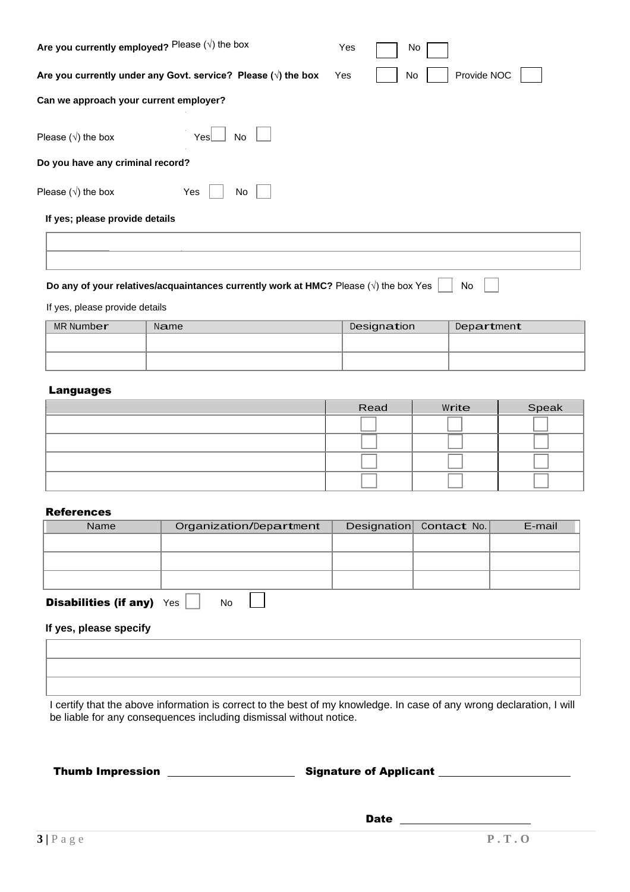| Are you currently employed? Please $(\sqrt{})$ the box                |  | No                |
|-----------------------------------------------------------------------|--|-------------------|
| Are you currently under any Govt. service? Please $(\sqrt{})$ the box |  | Provide NOC<br>No |
| Can we approach your current employer?                                |  |                   |
| Please $(\sqrt{})$ the box<br>YesL<br><b>No</b>                       |  |                   |
| Do you have any criminal record?                                      |  |                   |
| Please $(\sqrt{})$ the box<br>Yes<br>No                               |  |                   |
| If yes; please provide details                                        |  |                   |
|                                                                       |  |                   |

**Do any of your relatives/acquaintances currently work at HMC?** Please (√) the box Yes No

If yes, please provide details

| MR Number | Name | Designation | Department |
|-----------|------|-------------|------------|
|           |      |             |            |
|           |      |             |            |

# Languages

| Read | Write | Speak |
|------|-------|-------|
|      |       |       |
|      |       |       |
|      |       |       |
|      |       |       |

#### **References**

| .                            |                         |                         |        |
|------------------------------|-------------------------|-------------------------|--------|
| Name                         | Organization/Department | Designation Contact No. | E-mail |
|                              |                         |                         |        |
|                              |                         |                         |        |
|                              |                         |                         |        |
| <b>Disabilities (if any)</b> | Yes<br>No               |                         |        |

### **If yes, please specify**

I certify that the above information is correct to the best of my knowledge. In case of any wrong declaration, I will be liable for any consequences including dismissal without notice.

Thumb Impression Signature of Applicant

**Date Date Date Date**